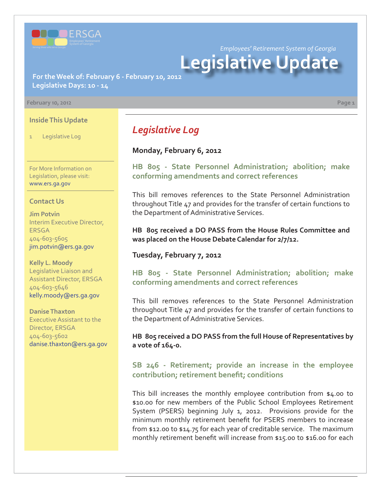

*Employees' Retirement System of Georgia*

# **Legislative Update**

**For the Week of: February 6 - February 10, 2012 Legislative Days: 10 - 14**

#### **February 10, 2012 Page 1**

**Inside This Update**

**Legislative Log** 

For More Information on Legislation, please visit: www.ers.ga.gov

#### **Contact Us**

**Jim Potvin** Interim Executive Director, ERSGA 404-603-5605 jim.potvin@ers.ga.gov

**Kelly L. Moody** Legislative Liaison and Assistant Director, ERSGA 404-603-5646 kelly.moody@ers.ga.gov

**Danise Thaxton** Executive Assistant to the Director, ERSGA 404-603-5602 danise.thaxton@ers.ga.gov

# *Legislative Log*

#### **Monday, February 6, 2012**

**[HB 805 - State Personnel Administration; abolition; make](http://www.legis.ga.gov/legislation/en-US/Display/20112012/HB/805) conforming amendments and correct references**

This bill removes references to the State Personnel Administration throughout Title 47 and provides for the transfer of certain functions to the Department of Administrative Services.

**HB 805 received a DO PASS from the House Rules Committee and was placed on the House Debate Calendar for 2/7/12.**

#### **Tuesday, February 7, 2012**

**[HB 805 - State Personnel Administration; abolition; make](http://www.legis.ga.gov/legislation/en-US/Display/20112012/HB/805) conforming amendments and correct references**

This bill removes references to the State Personnel Administration throughout Title 47 and provides for the transfer of certain functions to the Department of Administrative Services.

**HB 805 received a DO PASS from the full House of Representatives by a vote of 164-0.**

## **[SB 246 - Retirement; provide an increase in the employee](http://www.legis.ga.gov/legislation/en-US/Display/20112012/SB/246) contribution; retirement benefit; conditions**

This bill increases the monthly employee contribution from \$4.00 to \$10.00 for new members of the Public School Employees Retirement System (PSERS) beginning July 1, 2012. Provisions provide for the minimum monthly retirement benefit for PSERS members to increase from \$12.00 to \$14.75 for each year of creditable service. The maximum monthly retirement benefit will increase from \$15.00 to \$16.00 for each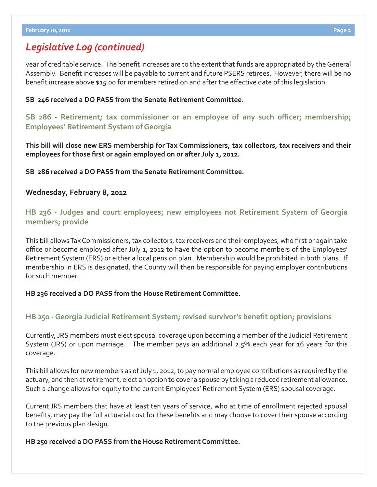## *Legislative Log (continued)*

year of creditable service. The benefit increases are to the extent that funds are appropriated by the General Assembly. Benefit increases will be payable to current and future PSERS retirees. However, there will be no benefit increase above \$15.00 for members retired on and after the effective date of this legislation.

#### **SB 246 received a DO PASS from the Senate Retirement Committee.**

**[SB 286 - Retirement; tax commissioner or an employee of any such o](http://www.legis.ga.gov/legislation/en-US/Display/20112012/SB/286)fficer; membership; Employees' Retirement System of Georgia**

**This bill will close new ERS membership for Tax Commissioners, tax collectors, tax receivers and their**  employees for those first or again employed on or after July 1, 2012.

**SB 286 received a DO PASS from the Senate Retirement Committee.**

## **Wednesday, February 8, 2012**

**[HB 236 - Judges and court employees; new employees not Retirement System of Georgia](http://www.legis.ga.gov/legislation/en-US/Display/20112012/HB/236)  members; provide**

This bill allows Tax Commissioners, tax collectors, tax receivers and their employees, who first or again take office or become employed after July 1, 2012 to have the option to become members of the Employees' Retirement System (ERS) or either a local pension plan. Membership would be prohibited in both plans. If membership in ERS is designated, the County will then be responsible for paying employer contributions for such member.

#### **HB 236 received a DO PASS from the House Retirement Committee.**

## **HB 250 - Georgia Judicial Retirement System; revised survivor's benefit option; provisions**

Currently, JRS members must elect spousal coverage upon becoming a member of the Judicial Retirement System (JRS) or upon marriage. The member pays an additional 2.5% each year for 16 years for this coverage.

This bill allows for new members as of July 1, 2012, to pay normal employee contributions as required by the actuary, and then at retirement, elect an option to cover a spouse by taking a reduced retirement allowance. Such a change allows for equity to the current Employees' Retirement System (ERS) spousal coverage.

Current JRS members that have at least ten years of service, who at time of enrollment rejected spousal benefits, may pay the full actuarial cost for these benefits and may choose to cover their spouse according to the previous plan design.

**HB 250 received a DO PASS from the House Retirement Committee.**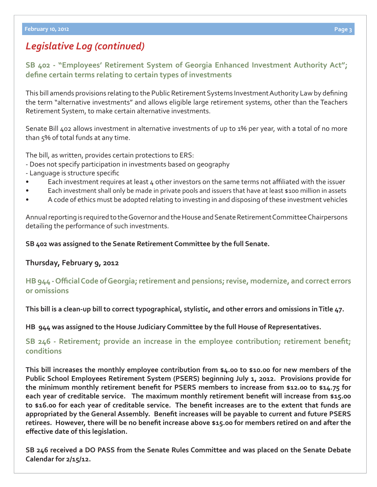# *Legislative Log (continued)*

## **[SB 402 - "Employees' Retirement System of Georgia Enhanced Investment Authority Act";](http://www.legis.ga.gov/legislation/en-US/Display/20112012/HB/250)**  define certain terms relating to certain types of investments

This bill amends provisions relating to the Public Retirement Systems Investment Authority Law by defining the term "alternative investments" and allows eligible large retirement systems, other than the Teachers Retirement System, to make certain alternative investments.

Senate Bill 402 allows investment in alternative investments of up to 1% per year, with a total of no more than 5% of total funds at any time.

The bill, as written, provides certain protections to ERS:

- Does not specify participation in investments based on geography

- Language is structure specific
- Each investment requires at least 4 other investors on the same terms not affiliated with the issuer
- Each investment shall only be made in private pools and issuers that have at least \$100 million in assets
- A code of ethics must be adopted relating to investing in and disposing of these investment vehicles

Annual reporting is required to the Governor and the House and Senate Retirement Committee Chairpersons detailing the performance of such investments.

**SB 402 was assigned to the Senate Retirement Committee by the full Senate.**

#### **Thursday, February 9, 2012**

#### **HB 944 - Offi [cial Code of Georgia; retirement and pensions; revise, modernize, and correct errors](http://www.legis.ga.gov/legislation/en-US/Display/20112012/HB/944) or omissions**

**This bill is a clean-up bill to correct typographical, stylistic, and other errors and omissions in Title 47.**

**HB 944 was assigned to the House Judiciary Committee by the full House of Representatives.**

## **SB 246 - Retirement; provide an increase in the employee contribution; retirement benefit; conditions**

**This bill increases the monthly employee contribution from \$4.00 to \$10.00 for new members of the Public School Employees Retirement System (PSERS) beginning July 1, 2012. Provisions provide for**  the minimum monthly retirement benefit for PSERS members to increase from \$12.00 to \$14.75 for **each year of creditable service. The maximum monthly retirement benefi t will increase from \$15.00**  to \$16.00 for each year of creditable service. The benefit increases are to the extent that funds are appropriated by the General Assembly. Benefit increases will be payable to current and future PSERS retirees. However, there will be no benefit increase above \$15.00 for members retired on and after the **eff ective date of this legislation.**

**SB 246 received a DO PASS from the Senate Rules Committee and was placed on the Senate Debate Calendar for 2/15/12.**